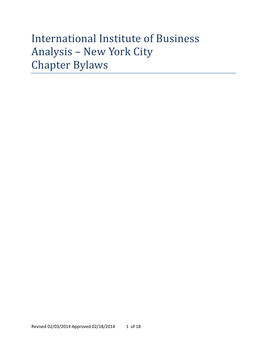# International Institute of Business Analysis – New York City Chapter Bylaws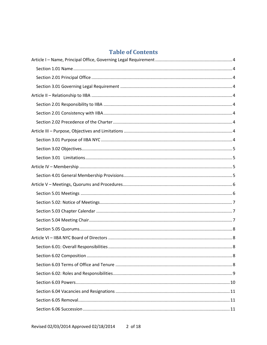# **Table of Contents**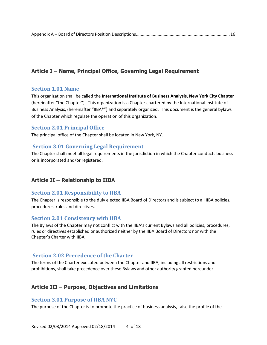# <span id="page-3-0"></span>**Article I – Name, Principal Office, Governing Legal Requirement**

## <span id="page-3-1"></span>**Section 1.01 Name**

This organization shall be called the **International Institute of Business Analysis, New York City Chapter**  (hereinafter "the Chapter"). This organization is a Chapter chartered by the International Institute of Business Analysis, (hereinafter "IIBA®") and separately organized. This document is the general bylaws of the Chapter which regulate the operation of this organization.

# <span id="page-3-2"></span>**Section 2.01 Principal Office**

The principal office of the Chapter shall be located in New York, NY.

# <span id="page-3-3"></span>**Section 3.01 Governing Legal Requirement**

The Chapter shall meet all legal requirements in the jurisdiction in which the Chapter conducts business or is incorporated and/or registered.

# <span id="page-3-4"></span>**Article II – Relationship to IIBA**

# <span id="page-3-5"></span>**Section 2.01 Responsibility to IIBA**

The Chapter is responsible to the duly elected IIBA Board of Directors and is subject to all IIBA policies, procedures, rules and directives.

# <span id="page-3-6"></span>**Section 2.01 Consistency with IIBA**

The Bylaws of the Chapter may not conflict with the IIBA's current Bylaws and all policies, procedures, rules or directives established or authorized neither by the IIBA Board of Directors nor with the Chapter's Charter with IIBA.

# <span id="page-3-7"></span>**Section 2.02 Precedence of the Charter**

The terms of the Charter executed between the Chapter and IIBA, including all restrictions and prohibitions, shall take precedence over these Bylaws and other authority granted hereunder.

# <span id="page-3-8"></span>**Article III – Purpose, Objectives and Limitations**

# <span id="page-3-9"></span>**Section 3.01 Purpose of IIBA NYC**

The purpose of the Chapter is to promote the practice of business analysis, raise the profile of the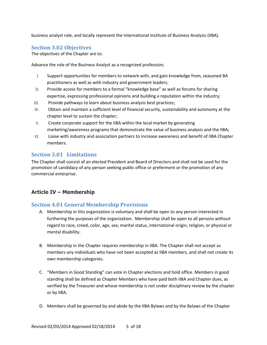business analyst role, and locally represent the International Institute of Business Analysis (IIBA).

# <span id="page-4-0"></span>**Section 3.02 Objectives**

The objectives of the Chapter are to:

Advance the role of the Business Analyst as a recognized profession;

- I. Support opportunities for members to network with, and gain knowledge from, seasoned BA practitioners as well as with industry and government leaders;
- II. Provide access for members to a formal "knowledge base" as well as forums for sharing expertise, expressing professional opinions and building a reputation within the industry;
- III. Provide pathways to learn about business analysis best practices;
- IV. Obtain and maintain a sufficient level of financial security, sustainability and autonomy at the chapter level to sustain the chapter;
- V. Create corporate support for the IIBA within the local market by generating marketing/awareness programs that demonstrate the value of business analysis and the IIBA;
- VI. Liaise with industry and association partners to increase awareness and benefit of IIBA Chapter members.

# <span id="page-4-1"></span>**Section 3.01 Limitations**

The Chapter shall consist of an elected President and Board of Directors and shall not be used for the promotion of candidacy of any person seeking public office or preferment or the promotion of any commercial enterprise.

# <span id="page-4-2"></span>**Article IV – Membership**

# <span id="page-4-3"></span>**Section 4.01 General Membership Provisions**

- A. Membership in this organization is voluntary and shall be open to any person interested in furthering the purposes of the organization. Membership shall be open to all persons without regard to race, creed, color, age, sex, marital status, international origin, religion, or physical or mental disability.
- B. Membership in the Chapter requires membership in IIBA. The Chapter shall not accept as members any individuals who have not been accepted as IIBA members, and shall not create its own membership categories.
- C. "Members in Good Standing" can vote in Chapter elections and hold office. Members in good standing shall be defined as Chapter Members who have paid both IIBA and Chapter dues, as verified by the Treasurer and whose membership is not under disciplinary review by the chapter or by IIBA.
- D. Members shall be governed by and abide by the IIBA Bylaws and by the Bylaws of the Chapter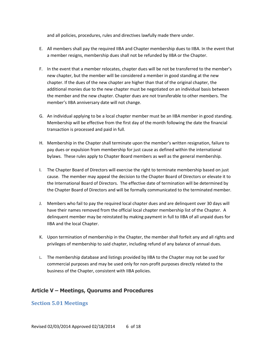and all policies, procedures, rules and directives lawfully made there under.

- E. All members shall pay the required IIBA and Chapter membership dues to IIBA. In the event that a member resigns, membership dues shall not be refunded by IIBA or the Chapter.
- F. In the event that a member relocates, chapter dues will be not be transferred to the member's new chapter, but the member will be considered a member in good standing at the new chapter. If the dues of the new chapter are higher than that of the original chapter, the additional monies due to the new chapter must be negotiated on an individual basis between the member and the new chapter. Chapter dues are not transferable to other members. The member's IIBA anniversary date will not change.
- G. An individual applying to be a local chapter member must be an IIBA member in good standing. Membership will be effective from the first day of the month following the date the financial transaction is processed and paid in full.
- H. Membership in the Chapter shall terminate upon the member's written resignation, failure to pay dues or expulsion from membership for just cause as defined within the international bylaws. These rules apply to Chapter Board members as well as the general membership.
- I. The Chapter Board of Directors will exercise the right to terminate membership based on just cause. The member may appeal the decision to the Chapter Board of Directors or elevate it to the International Board of Directors. The effective date of termination will be determined by the Chapter Board of Directors and will be formally communicated to the terminated member.
- J. Members who fail to pay the required local chapter dues and are delinquent over 30 days will have their names removed from the official local chapter membership list of the Chapter. A delinquent member may be reinstated by making payment in full to IIBA of all unpaid dues for IIBA and the local Chapter.
- K. Upon termination of membership in the Chapter, the member shall forfeit any and all rights and privileges of membership to said chapter, including refund of any balance of annual dues.
- L. The membership database and listings provided by IIBA to the Chapter may not be used for commercial purposes and may be used only for non-profit purposes directly related to the business of the Chapter, consistent with IIBA policies.

# <span id="page-5-0"></span>**Article V – Meetings, Quorums and Procedures**

## <span id="page-5-1"></span>**Section 5.01 Meetings**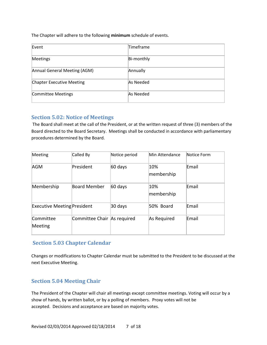The Chapter will adhere to the following **minimum** schedule of events.

| Event                            | Timeframe  |
|----------------------------------|------------|
| Meetings                         | Bi-monthly |
| Annual General Meeting (AGM)     | Annually   |
| <b>Chapter Executive Meeting</b> | As Needed  |
| <b>Committee Meetings</b>        | As Needed  |

# <span id="page-6-0"></span>**Section 5.02: Notice of Meetings**

The Board shall meet at the call of the President, or at the written request of three (3) members of the Board directed to the Board Secretary. Meetings shall be conducted in accordance with parliamentary procedures determined by the Board.

| Meeting                            | Called By                   | Notice period | Min Attendance    | Notice Form |
|------------------------------------|-----------------------------|---------------|-------------------|-------------|
| <b>AGM</b>                         | President                   | 60 days       | 10%<br>membership | Email       |
| Membership                         | Board Member                | 60 days       | 10%<br>membership | Email       |
| <b>Executive Meeting President</b> |                             | 30 days       | 50% Board         | Email       |
| Committee<br>Meeting               | Committee Chair As required |               | As Required       | Email       |

# <span id="page-6-1"></span>**Section 5.03 Chapter Calendar**

Changes or modifications to Chapter Calendar must be submitted to the President to be discussed at the next Executive Meeting.

# <span id="page-6-2"></span>**Section 5.04 Meeting Chair**

The President of the Chapter will chair all meetings except committee meetings. Voting will occur by a show of hands, by written ballot, or by a polling of members. Proxy votes will not be accepted. Decisions and acceptance are based on majority votes.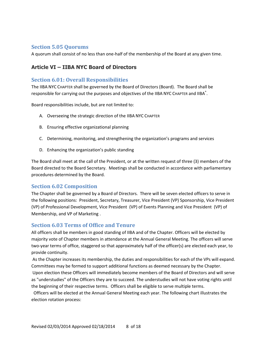# <span id="page-7-0"></span>**Section 5.05 Quorums**

A quorum shall consist of no less than one-half of the membership of the Board at any given time.

# <span id="page-7-1"></span>**Article VI – IIBA NYC Board of Directors**

## <span id="page-7-2"></span>**Section 6.01: Overall Responsibilities**

The IIBA NYC CHAPTER shall be governed by the Board of Directors (Board). The Board shall be responsible for carrying out the purposes and objectives of the IIBA NYC CHAPTER and IIBA $\degree$ .

Board responsibilities include, but are not limited to:

- A. Overseeing the strategic direction of the IIBA NYC CHAPTER
- B. Ensuring effective organizational planning
- C. Determining, monitoring, and strengthening the organization's programs and services
- D. Enhancing the organization's public standing

The Board shall meet at the call of the President, or at the written request of three (3) members of the Board directed to the Board Secretary. Meetings shall be conducted in accordance with parliamentary procedures determined by the Board.

# <span id="page-7-3"></span>**Section 6.02 Composition**

The Chapter shall be governed by a Board of Directors. There will be seven elected officers to serve in the following positions: President, Secretary, Treasurer, Vice President (VP) Sponsorship, Vice President (VP) of Professional Development, Vice President (VP) of Events Planning and Vice President (VP) of Membership, and VP of Marketing .

# <span id="page-7-4"></span>**Section 6.03 Terms of Office and Tenure**

All officers shall be members in good standing of IIBA and of the Chapter. Officers will be elected by majority vote of Chapter members in attendance at the Annual General Meeting. The officers will serve two-year terms of office, staggered so that approximately half of the officer(s) are elected each year, to provide continuity.

As the Chapter increases its membership, the duties and responsibilities for each of the VPs will expand. Committees may be formed to support additional functions as deemed necessary by the Chapter.

Upon election these Officers will immediately become members of the Board of Directors and will serve as "understudies" of the Officers they are to succeed. The understudies will not have voting rights until the beginning of their respective terms. Officers shall be eligible to serve multiple terms.

Officers will be elected at the Annual General Meeting each year. The following chart illustrates the election rotation process: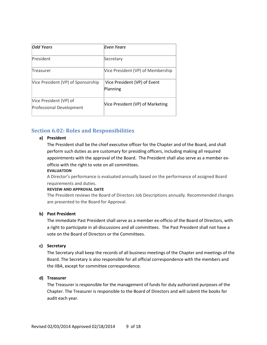| <b>Odd Years</b>                                          | Even Years                               |
|-----------------------------------------------------------|------------------------------------------|
| President                                                 | Secretary                                |
| Treasurer                                                 | Vice President (VP) of Membership        |
| Vice President (VP) of Sponsorship                        | Vice President (VP) of Event<br>Planning |
| Vice President (VP) of<br><b>Professional Development</b> | Vice President (VP) of Marketing         |

# <span id="page-8-0"></span>**Section 6.02: Roles and Responsibilities**

## **a) President**

The President shall be the chief executive officer for the Chapter and of the Board, and shall perform such duties as are customary for presiding officers, including making all required appointments with the approval of the Board. The President shall also serve as a member exofficio with the right to vote on all committees.

#### **EVALUATION**

A Director's performance is evaluated annually based on the performance of assigned Board requirements and duties.

#### **REVIEW AND APPROVAL DATE**

The President reviews the Board of Directors Job Descriptions annually. Recommended changes are presented to the Board for Approval.

#### **b) Past President**

The immediate Past President shall serve as a member ex-officio of the Board of Directors, with a right to participate in all discussions and all committees. The Past President shall not have a vote on the Board of Directors or the Committees.

#### **c) Secretary**

The Secretary shall keep the records of all business meetings of the Chapter and meetings of the Board. The Secretary is also responsible for all official correspondence with the members and the IIBA, except for committee correspondence.

## **d) Treasurer**

The Treasurer is responsible for the management of funds for duly authorized purposes of the Chapter. The Treasurer is responsible to the Board of Directors and will submit the books for audit each year.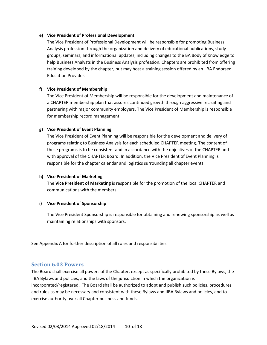#### **e) Vice President of Professional Development**

The Vice President of Professional Development will be responsible for promoting Business Analysis profession through the organization and delivery of educational publications, study groups, seminars, and informational updates, including changes to the BA Body of Knowledge to help Business Analysts in the Business Analysis profession. Chapters are prohibited from offering training developed by the chapter, but may host a training session offered by an IIBA Endorsed Education Provider.

#### f) **Vice President of Membership**

The Vice President of Membership will be responsible for the development and maintenance of a CHAPTER membership plan that assures continued growth through aggressive recruiting and partnering with major community employers. The Vice President of Membership is responsible for membership record management.

#### **g) Vice President of Event Planning**

The Vice President of Event Planning will be responsible for the development and delivery of programs relating to Business Analysis for each scheduled CHAPTER meeting. The content of these programs is to be consistent and in accordance with the objectives of the CHAPTER and with approval of the CHAPTER Board. In addition, the Vice President of Event Planning is responsible for the chapter calendar and logistics surrounding all chapter events.

#### **h) Vice President of Marketing**

The **Vice President of Marketing** is responsible for the promotion of the local CHAPTER and communications with the members.

#### **i) Vice President of Sponsorship**

The Vice President Sponsorship is responsible for obtaining and renewing sponsorship as well as maintaining relationships with sponsors.

See Appendix A for further description of all roles and responsibilities.

#### <span id="page-9-0"></span>**Section 6.03 Powers**

The Board shall exercise all powers of the Chapter, except as specifically prohibited by these Bylaws, the IIBA Bylaws and policies, and the laws of the jurisdiction in which the organization is incorporated/registered. The Board shall be authorized to adopt and publish such policies, procedures and rules as may be necessary and consistent with these Bylaws and IIBA Bylaws and policies, and to exercise authority over all Chapter business and funds.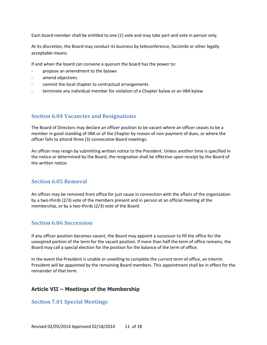Each board member shall be entitled to one (1) vote and may take part and vote in person only.

At its discretion, the Board may conduct its business by teleconference, facsimile or other legally acceptable means.

If and when the board can convene a quorum the board has the power to:

- propose an amendment to the bylaws
- amend objectives
- commit the local chapter to contractual arrangements
- terminate any individual member for violation of a Chapter bylaw or an IIBA bylaw

## <span id="page-10-0"></span>**Section 6.04 Vacancies and Resignations**

The Board of Directors may declare an officer position to be vacant where an officer ceases to be a member in good standing of IIBA or of the Chapter by reason of non-payment of dues, or where the officer fails to attend three (3) consecutive Board meetings.

An officer may resign by submitting written notice to the President. Unless another time is specified in the notice or determined by the Board, the resignation shall be effective upon receipt by the Board of the written notice.

# <span id="page-10-1"></span>**Section 6.05 Removal**

An officer may be removed from office for just cause in connection with the affairs of the organization by a two-thirds (2/3) vote of the members present and in person at an official meeting of the membership, or by a two-thirds (2/3) vote of the Board.

## <span id="page-10-2"></span>**Section 6.06 Succession**

If any officer position becomes vacant, the Board may appoint a successor to fill the office for the unexpired portion of the term for the vacant position. If more than half the term of office remains, the Board may call a special election for the position for the balance of the term of office.

In the event the President is unable or unwilling to complete the current term of office, an Interim President will be appointed by the remaining Board members. This appointment shall be in effect for the remainder of that term.

## <span id="page-10-3"></span>**Article VII – Meetings of the Membership**

## <span id="page-10-4"></span>**Section 7.01 Special Meetings**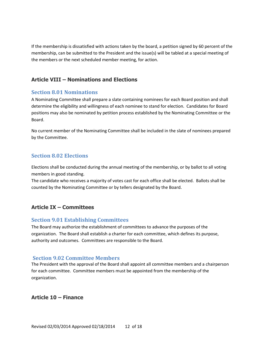If the membership is dissatisfied with actions taken by the board, a petition signed by 60 percent of the membership, can be submitted to the President and the issue(s) will be tabled at a special meeting of the members or the next scheduled member meeting, for action.

# <span id="page-11-0"></span>**Article VIII – Nominations and Elections**

# <span id="page-11-1"></span>**Section 8.01 Nominations**

A Nominating Committee shall prepare a slate containing nominees for each Board position and shall determine the eligibility and willingness of each nominee to stand for election. Candidates for Board positions may also be nominated by petition process established by the Nominating Committee or the Board.

No current member of the Nominating Committee shall be included in the slate of nominees prepared by the Committee.

# <span id="page-11-2"></span>**Section 8.02 Elections**

Elections shall be conducted during the annual meeting of the membership, or by ballot to all voting members in good standing.

The candidate who receives a majority of votes cast for each office shall be elected. Ballots shall be counted by the Nominating Committee or by tellers designated by the Board.

# <span id="page-11-3"></span>**Article IX – Committees**

# <span id="page-11-4"></span>**Section 9.01 Establishing Committees**

The Board may authorize the establishment of committees to advance the purposes of the organization. The Board shall establish a charter for each committee, which defines its purpose, authority and outcomes. Committees are responsible to the Board.

# <span id="page-11-5"></span>**Section 9.02 Committee Members**

The President with the approval of the Board shall appoint all committee members and a chairperson for each committee. Committee members must be appointed from the membership of the organization.

# <span id="page-11-6"></span>**Article 10 – Finance**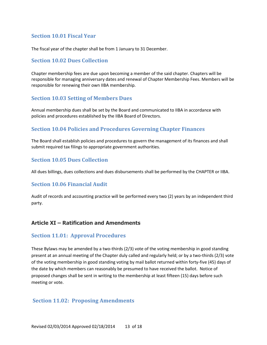# <span id="page-12-0"></span>**Section 10.01 Fiscal Year**

The fiscal year of the chapter shall be from 1 January to 31 December.

# <span id="page-12-1"></span>**Section 10.02 Dues Collection**

Chapter membership fees are due upon becoming a member of the said chapter. Chapters will be responsible for managing anniversary dates and renewal of Chapter Membership Fees. Members will be responsible for renewing their own IIBA membership.

# <span id="page-12-2"></span>**Section 10.03 Setting of Members Dues**

Annual membership dues shall be set by the Board and communicated to IIBA in accordance with policies and procedures established by the IIBA Board of Directors.

# <span id="page-12-3"></span>**Section 10.04 Policies and Procedures Governing Chapter Finances**

The Board shall establish policies and procedures to govern the management of its finances and shall submit required tax filings to appropriate government authorities.

# <span id="page-12-4"></span>**Section 10.05 Dues Collection**

All dues billings, dues collections and dues disbursements shall be performed by the CHAPTER or IIBA.

# <span id="page-12-5"></span>**Section 10.06 Financial Audit**

Audit of records and accounting practice will be performed every two (2) years by an independent third party.

# <span id="page-12-6"></span>**Article XI – Ratification and Amendments**

## <span id="page-12-7"></span>**Section 11.01: Approval Procedures**

These Bylaws may be amended by a two-thirds (2/3) vote of the voting membership in good standing present at an annual meeting of the Chapter duly called and regularly held; or by a two-thirds (2/3) vote of the voting membership in good standing voting by mail ballot returned within forty-five (45) days of the date by which members can reasonably be presumed to have received the ballot. Notice of proposed changes shall be sent in writing to the membership at least fifteen (15) days before such meeting or vote.

## <span id="page-12-8"></span>**Section 11.02: Proposing Amendments**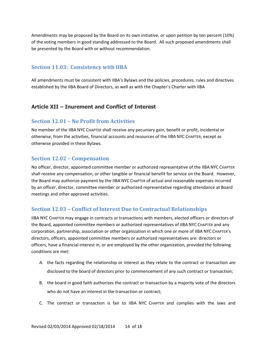Amendments may be proposed by the Board on its own initiative, or upon petition by ten percent (10%) of the voting members in good standing addressed to the Board. All such proposed amendments shall be presented by the Board with or without recommendation.

## <span id="page-13-0"></span>**Section 11.03: Consistency with IIBA**

All amendments must be consistent with IIBA's Bylaws and the policies, procedures, rules and directives established by the IIBA Board of Directors, as well as with the Chapter's Charter with IIBA

## <span id="page-13-1"></span>**Article XII – Inurement and Conflict of Interest**

## <span id="page-13-2"></span>**Section 12.01 – No Profit from Activities**

No member of the IIBA NYC CHAPTER shall receive any pecuniary gain, benefit or profit, incidental or otherwise, from the activities, financial accounts and resources of the IIBA NYC CHAPTER, except as otherwise provided in these Bylaws.

## <span id="page-13-3"></span>**Section 12.02 – Compensation**

No officer, director, appointed committee member or authorized representative of the IIBA NYC CHAPTER shall receive any compensation, or other tangible or financial benefit for service on the Board. However, the Board may authorize payment by the IIBA NYC CHAPTER of actual and reasonable expenses incurred by an officer, director, committee member or authorized representative regarding attendance at Board meetings and other approved activities.

## <span id="page-13-4"></span>**Section 12.03 – Conflict of Interest Due to Contractual Relationships**

IIBA NYC CHAPTER may engage in contracts or transactions with members, elected officers or directors of the Board, appointed committee members or authorized representatives of IIBA NYC CHAPTER and any corporation, partnership, association or other organization in which one or more of IIBA NYC CHAPTER's directors, officers, appointed committee members or authorized representatives are: directors or officers, have a financial interest in, or are employed by the other organization, provided the following conditions are met:

- A. the facts regarding the relationship or interest as they relate to the contract or transaction are disclosed to the board of directors prior to commencement of any such contract or transaction;
- B. the board in good faith authorizes the contract or transaction by a majority vote of the directors who do not have an interest in the transaction or contract;
- C. The contract or transaction is fair to IIBA NYC CHAPTER and complies with the laws and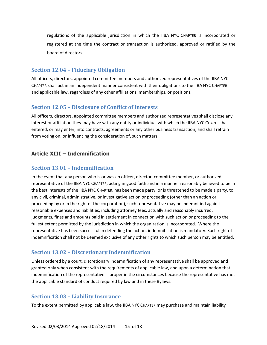regulations of the applicable jurisdiction in which the IIBA NYC CHAPTER is incorporated or registered at the time the contract or transaction is authorized, approved or ratified by the board of directors.

# <span id="page-14-0"></span>**Section 12.04 – Fiduciary Obligation**

All officers, directors, appointed committee members and authorized representatives of the IIBA NYC CHAPTER shall act in an independent manner consistent with their obligations to the IIBA NYC CHAPTER and applicable law, regardless of any other affiliations, memberships, or positions.

# <span id="page-14-1"></span>**Section 12.05 – Disclosure of Conflict of Interests**

All officers, directors, appointed committee members and authorized representatives shall disclose any interest or affiliation they may have with any entity or individual with which the IIBA NYC CHAPTER has entered, or may enter, into contracts, agreements or any other business transaction, and shall refrain from voting on, or influencing the consideration of, such matters.

# <span id="page-14-2"></span>**Article XIII – Indemnification**

# <span id="page-14-3"></span>**Section 13.01 – Indemnification**

In the event that any person who is or was an officer, director, committee member, or authorized representative of the IIBA NYC CHAPTER, acting in good faith and in a manner reasonably believed to be in the best interests of the IIBA NYC CHAPTER, has been made party, or is threatened to be made a party, to any civil, criminal, administrative, or investigative action or proceeding (other than an action or proceeding by or in the right of the corporation), such representative may be indemnified against reasonable expenses and liabilities, including attorney fees, actually and reasonably incurred, judgments, fines and amounts paid in settlement in connection with such action or proceeding to the fullest extent permitted by the jurisdiction in which the organization is incorporated. Where the representative has been successful in defending the action, indemnification is mandatory. Such right of indemnification shall not be deemed exclusive of any other rights to which such person may be entitled.

# <span id="page-14-4"></span>**Section 13.02 – Discretionary Indemnification**

Unless ordered by a court, discretionary indemnification of any representative shall be approved and granted only when consistent with the requirements of applicable law, and upon a determination that indemnification of the representative is proper in the circumstances because the representative has met the applicable standard of conduct required by law and in these Bylaws.

# <span id="page-14-5"></span>**Section 13.03 – Liability Insurance**

To the extent permitted by applicable law, the IIBA NYC CHAPTER may purchase and maintain liability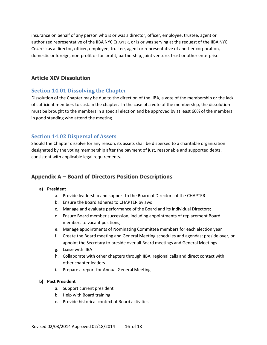insurance on behalf of any person who is or was a director, officer, employee, trustee, agent or authorized representative of the IIBA NYC CHAPTER, or is or was serving at the request of the IIBA NYC CHAPTER as a director, officer, employee, trustee, agent or representative of another corporation, domestic or foreign, non-profit or for-profit, partnership, joint venture, trust or other enterprise.

# <span id="page-15-0"></span>**Article XIV Dissolution**

# <span id="page-15-1"></span>**Section 14.01 Dissolving the Chapter**

Dissolution of the Chapter may be due to the direction of the IIBA, a vote of the membership or the lack of sufficient members to sustain the chapter. In the case of a vote of the membership, the dissolution must be brought to the members in a special election and be approved by at least 60% of the members in good standing who attend the meeting.

# <span id="page-15-2"></span>**Section 14.02 Dispersal of Assets**

Should the Chapter dissolve for any reason, its assets shall be dispersed to a charitable organization designated by the voting membership after the payment of just, reasonable and supported debts, consistent with applicable legal requirements.

# <span id="page-15-3"></span>**Appendix A – Board of Directors Position Descriptions**

#### **a) President**

- a. Provide leadership and support to the Board of Directors of the CHAPTER
- b. Ensure the Board adheres to CHAPTER bylaws
- c. Manage and evaluate performance of the Board and its individual Directors;
- d. Ensure Board member succession, including appointments of replacement Board members to vacant positions;
- e. Manage appointments of Nominating Committee members for each election year
- f. Create the Board meeting and General Meeting schedules and agendas; preside over, or appoint the Secretary to preside over all Board meetings and General Meetings
- g. Liaise with IIBA
- h. Collaborate with other chapters through IIBA regional calls and direct contact with other chapter leaders
- i. Prepare a report for Annual General Meeting

#### **b) Past President**

- a. Support current president
- b. Help with Board training
- c. Provide historical context of Board activities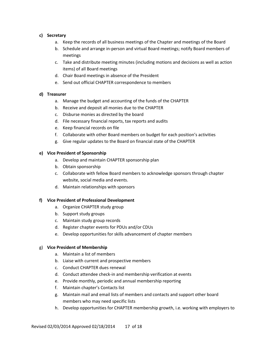## **c) Secretary**

- a. Keep the records of all business meetings of the Chapter and meetings of the Board
- b. Schedule and arrange in-person and virtual Board meetings; notify Board members of meetings
- c. Take and distribute meeting minutes (including motions and decisions as well as action items) of all Board meetings
- d. Chair Board meetings in absence of the President
- e. Send out official CHAPTER correspondence to members

## **d) Treasurer**

- a. Manage the budget and accounting of the funds of the CHAPTER
- b. Receive and deposit all monies due to the CHAPTER
- c. Disburse monies as directed by the board
- d. File necessary financial reports, tax reports and audits
- e. Keep financial records on file
- f. Collaborate with other Board members on budget for each position's activities
- g. Give regular updates to the Board on financial state of the CHAPTER

## **e) Vice President of Sponsorship**

- a. Develop and maintain CHAPTER sponsorship plan
- b. Obtain sponsorship
- c. Collaborate with fellow Board members to acknowledge sponsors through chapter website, social media and events.
- d. Maintain relationships with sponsors

#### **f) Vice President of Professional Development**

- a. Organize CHAPTER study group
- b. Support study groups
- c. Maintain study group records
- d. Register chapter events for PDUs and/or CDUs
- e. Develop opportunities for skills advancement of chapter members

#### g) **Vice President of Membership**

- a. Maintain a list of members
- b. Liaise with current and prospective members
- c. Conduct CHAPTER dues renewal
- d. Conduct attendee check-in and membership verification at events
- e. Provide monthly, periodic and annual membership reporting
- f. Maintain chapter's Contacts list
- g. Maintain mail and email lists of members and contacts and support other board members who may need specific lists
- h. Develop opportunities for CHAPTER membership growth, i.e. working with employers to